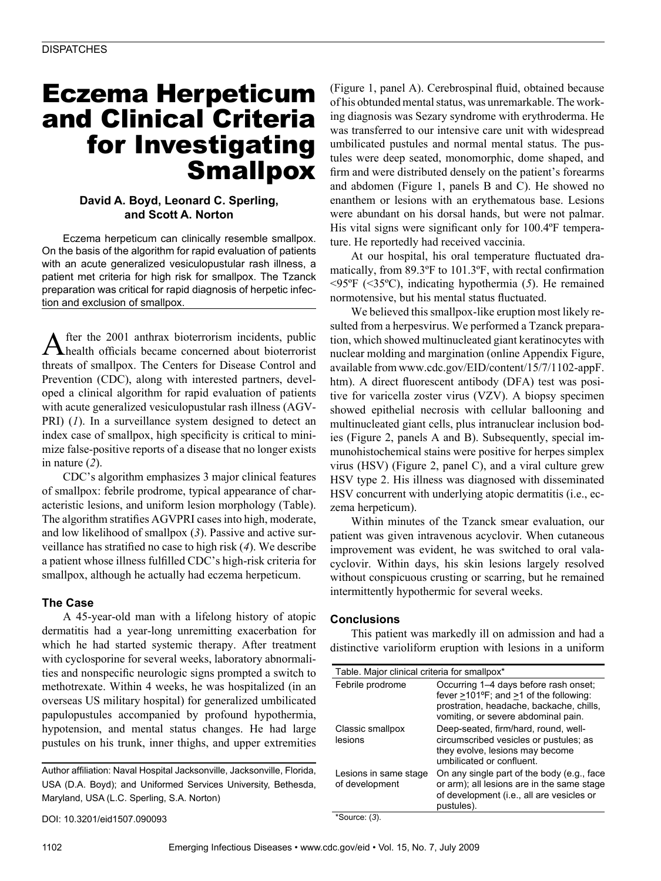# Eczema Herpeticum and Clinical Criteria for Investigating **Smallpox**

## **David A. Boyd, Leonard C. Sperling, and Scott A. Norton**

Eczema herpeticum can clinically resemble smallpox. On the basis of the algorithm for rapid evaluation of patients with an acute generalized vesiculopustular rash illness, a patient met criteria for high risk for smallpox. The Tzanck preparation was critical for rapid diagnosis of herpetic infection and exclusion of smallpox.

After the 2001 anthrax bioterrorism incidents, public health officials became concerned about bioterrorist threats of smallpox. The Centers for Disease Control and Prevention (CDC), along with interested partners, developed a clinical algorithm for rapid evaluation of patients with acute generalized vesiculopustular rash illness (AGV-PRI) (*1*). In a surveillance system designed to detect an index case of smallpox, high specificity is critical to minimize false-positive reports of a disease that no longer exists in nature (*2*).

CDC's algorithm emphasizes 3 major clinical features of smallpox: febrile prodrome, typical appearance of characteristic lesions, and uniform lesion morphology (Table). The algorithm stratifies AGVPRI cases into high, moderate, and low likelihood of smallpox (*3*). Passive and active surveillance has stratified no case to high risk (*4*). We describe a patient whose illness fulfilled CDC's high-risk criteria for smallpox, although he actually had eczema herpeticum.

### **The Case**

A 45-year-old man with a lifelong history of atopic dermatitis had a year-long unremitting exacerbation for which he had started systemic therapy. After treatment with cyclosporine for several weeks, laboratory abnormalities and nonspecific neurologic signs prompted a switch to methotrexate. Within 4 weeks, he was hospitalized (in an overseas US military hospital) for generalized umbilicated papulopustules accompanied by profound hypothermia, hypotension, and mental status changes. He had large pustules on his trunk, inner thighs, and upper extremities

Author affiliation: Naval Hospital Jacksonville, Jacksonville, Florida, USA (D.A. Boyd); and Uniformed Services University, Bethesda, Maryland, USA (L.C. Sperling, S.A. Norton)

DOI: 10.3201/eid1507.090093

(Figure 1, panel A). Cerebrospinal fluid, obtained because of his obtunded mental status, was unremarkable. The working diagnosis was Sezary syndrome with erythroderma. He was transferred to our intensive care unit with widespread umbilicated pustules and normal mental status. The pustules were deep seated, monomorphic, dome shaped, and firm and were distributed densely on the patient's forearms and abdomen (Figure 1, panels B and C). He showed no enanthem or lesions with an erythematous base. Lesions were abundant on his dorsal hands, but were not palmar. His vital signs were significant only for 100.4ºF temperature. He reportedly had received vaccinia.

At our hospital, his oral temperature fluctuated dramatically, from 89.3ºF to 101.3ºF, with rectal confirmation <95ºF (<35ºC), indicating hypothermia (*5*). He remained normotensive, but his mental status fluctuated.

We believed this smallpox-like eruption most likely resulted from a herpesvirus. We performed a Tzanck preparation, which showed multinucleated giant keratinocytes with nuclear molding and margination (online Appendix Figure, available from www.cdc.gov/EID/content/15/7/1102-appF. htm). A direct fluorescent antibody (DFA) test was positive for varicella zoster virus (VZV). A biopsy specimen showed epithelial necrosis with cellular ballooning and multinucleated giant cells, plus intranuclear inclusion bodies (Figure 2, panels A and B). Subsequently, special immunohistochemical stains were positive for herpes simplex virus (HSV) (Figure 2, panel C), and a viral culture grew HSV type 2. His illness was diagnosed with disseminated HSV concurrent with underlying atopic dermatitis (i.e., eczema herpeticum).

Within minutes of the Tzanck smear evaluation, our patient was given intravenous acyclovir. When cutaneous improvement was evident, he was switched to oral valacyclovir. Within days, his skin lesions largely resolved without conspicuous crusting or scarring, but he remained intermittently hypothermic for several weeks.

#### **Conclusions**

This patient was markedly ill on admission and had a distinctive varioliform eruption with lesions in a uniform

| Table. Major clinical criteria for smallpox*          |                                                                                                                                                                                |
|-------------------------------------------------------|--------------------------------------------------------------------------------------------------------------------------------------------------------------------------------|
| Febrile prodrome                                      | Occurring 1-4 days before rash onset;<br>fever $>101^{\circ}F$ ; and $>1$ of the following:<br>prostration, headache, backache, chills,<br>vomiting, or severe abdominal pain. |
| Classic smallpox<br>lesions                           | Deep-seated, firm/hard, round, well-<br>circumscribed vesicles or pustules; as<br>they evolve, lesions may become<br>umbilicated or confluent.                                 |
| Lesions in same stage<br>of development<br>$\sim$ $-$ | On any single part of the body (e.g., face<br>or arm); all lesions are in the same stage<br>of development (i.e., all are vesicles or<br>pustules).                            |

\*Source: (*3*).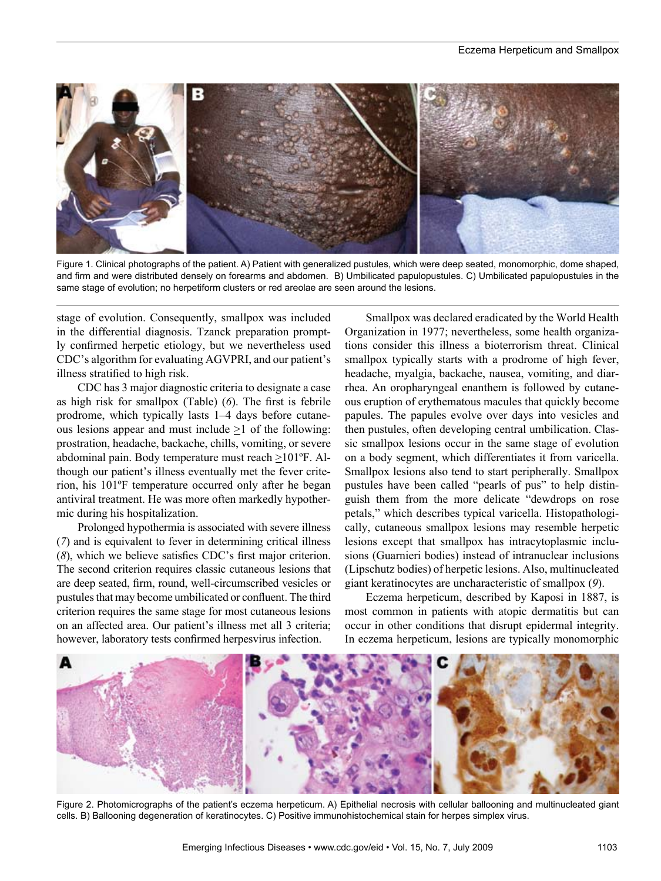

Figure 1. Clinical photographs of the patient. A) Patient with generalized pustules, which were deep seated, monomorphic, dome shaped, and firm and were distributed densely on forearms and abdomen. B) Umbilicated papulopustules. C) Umbilicated papulopustules in the same stage of evolution; no herpetiform clusters or red areolae are seen around the lesions.

stage of evolution. Consequently, smallpox was included in the differential diagnosis. Tzanck preparation promptly confirmed herpetic etiology, but we nevertheless used CDC's algorithm for evaluating AGVPRI, and our patient's illness stratified to high risk.

CDC has 3 major diagnostic criteria to designate a case as high risk for smallpox (Table) (*6*). The first is febrile prodrome, which typically lasts 1–4 days before cutaneous lesions appear and must include  $\geq 1$  of the following: prostration, headache, backache, chills, vomiting, or severe abdominal pain. Body temperature must reach  $\geq 101^{\circ}$ F. Although our patient's illness eventually met the fever criterion, his 101ºF temperature occurred only after he began antiviral treatment. He was more often markedly hypothermic during his hospitalization.

Prolonged hypothermia is associated with severe illness (*7*) and is equivalent to fever in determining critical illness (*8*), which we believe satisfies CDC's first major criterion. The second criterion requires classic cutaneous lesions that are deep seated, firm, round, well-circumscribed vesicles or pustules that may become umbilicated or confluent. The third criterion requires the same stage for most cutaneous lesions on an affected area. Our patient's illness met all 3 criteria; however, laboratory tests confirmed herpesvirus infection.

Smallpox was declared eradicated by the World Health Organization in 1977; nevertheless, some health organizations consider this illness a bioterrorism threat. Clinical smallpox typically starts with a prodrome of high fever, headache, myalgia, backache, nausea, vomiting, and diarrhea. An oropharyngeal enanthem is followed by cutaneous eruption of erythematous macules that quickly become papules. The papules evolve over days into vesicles and then pustules, often developing central umbilication. Classic smallpox lesions occur in the same stage of evolution on a body segment, which differentiates it from varicella. Smallpox lesions also tend to start peripherally. Smallpox pustules have been called "pearls of pus" to help distinguish them from the more delicate "dewdrops on rose petals," which describes typical varicella. Histopathologically, cutaneous smallpox lesions may resemble herpetic lesions except that smallpox has intracytoplasmic inclusions (Guarnieri bodies) instead of intranuclear inclusions (Lipschutz bodies) of herpetic lesions. Also, multinucleated giant keratinocytes are uncharacteristic of smallpox (*9*).

Eczema herpeticum, described by Kaposi in 1887, is most common in patients with atopic dermatitis but can occur in other conditions that disrupt epidermal integrity. In eczema herpeticum, lesions are typically monomorphic



Figure 2. Photomicrographs of the patient's eczema herpeticum. A) Epithelial necrosis with cellular ballooning and multinucleated giant cells. B) Ballooning degeneration of keratinocytes. C) Positive immunohistochemical stain for herpes simplex virus.